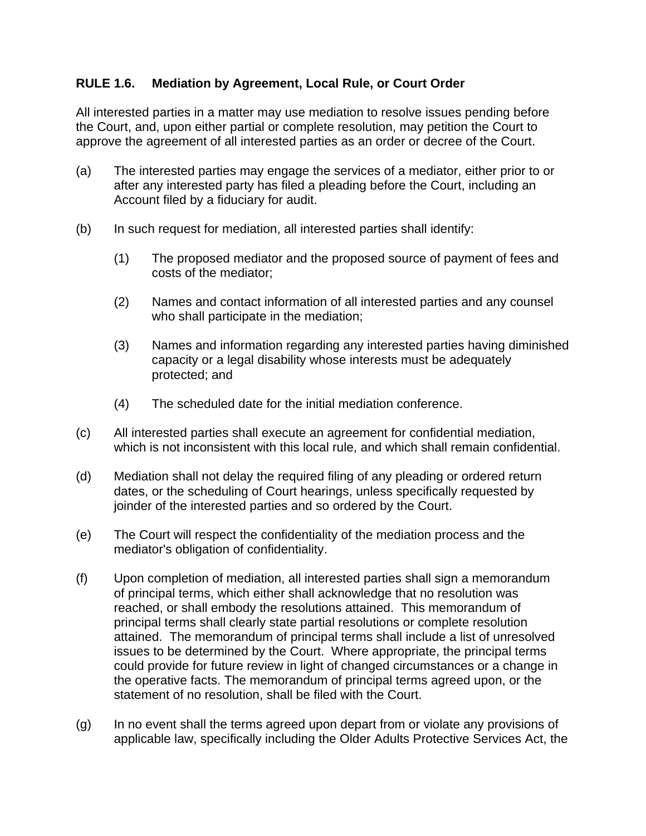## **RULE 1.6. Mediation by Agreement, Local Rule, or Court Order**

All interested parties in a matter may use mediation to resolve issues pending before the Court, and, upon either partial or complete resolution, may petition the Court to approve the agreement of all interested parties as an order or decree of the Court.

- (a) The interested parties may engage the services of a mediator, either prior to or after any interested party has filed a pleading before the Court, including an Account filed by a fiduciary for audit.
- (b) In such request for mediation, all interested parties shall identify:
	- (1) The proposed mediator and the proposed source of payment of fees and costs of the mediator;
	- (2) Names and contact information of all interested parties and any counsel who shall participate in the mediation;
	- (3) Names and information regarding any interested parties having diminished capacity or a legal disability whose interests must be adequately protected; and
	- (4) The scheduled date for the initial mediation conference.
- (c) All interested parties shall execute an agreement for confidential mediation, which is not inconsistent with this local rule, and which shall remain confidential.
- (d) Mediation shall not delay the required filing of any pleading or ordered return dates, or the scheduling of Court hearings, unless specifically requested by joinder of the interested parties and so ordered by the Court.
- (e) The Court will respect the confidentiality of the mediation process and the mediator's obligation of confidentiality.
- (f) Upon completion of mediation, all interested parties shall sign a memorandum of principal terms, which either shall acknowledge that no resolution was reached, or shall embody the resolutions attained. This memorandum of principal terms shall clearly state partial resolutions or complete resolution attained. The memorandum of principal terms shall include a list of unresolved issues to be determined by the Court. Where appropriate, the principal terms could provide for future review in light of changed circumstances or a change in the operative facts. The memorandum of principal terms agreed upon, or the statement of no resolution, shall be filed with the Court.
- (g) In no event shall the terms agreed upon depart from or violate any provisions of applicable law, specifically including the Older Adults Protective Services Act, the